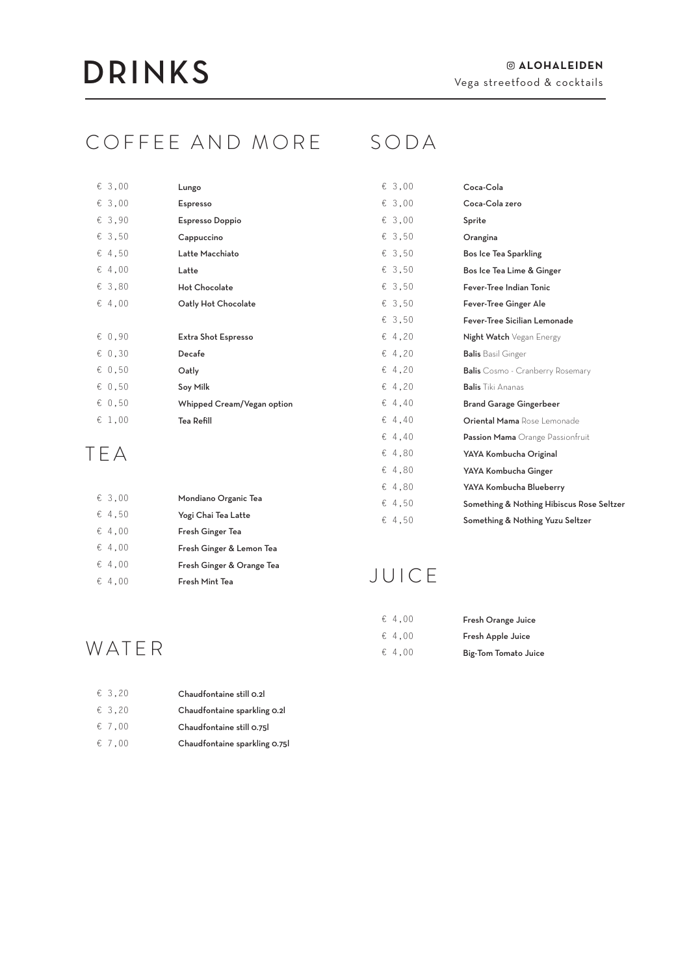#### COFFEE AND MORE SODA

| € 3,00          | Lungo                      |
|-----------------|----------------------------|
| & 3,00          | Espresso                   |
| € 3,90          | <b>Espresso Doppio</b>     |
| € 3.50          | Cappuccino                 |
| $\epsilon$ 4.50 | Latte Macchiato            |
| & 4.00          | Latte                      |
| & 3.80          | <b>Hot Chocolate</b>       |
| & 4.00          | Oatly Hot Chocolate        |
|                 |                            |
|                 |                            |
| & 0.90          | Extra Shot Espresso        |
| & 0.30          | Decafe                     |
| & 0.50          | Oatly                      |
| & 0.50          | Soy Milk                   |
| & 0.50          | Whipped Cream/Vegan option |
| £1,00           | Tea Refill                 |

#### TEA

| & 3.00          | Mondiano Organic Tea      |
|-----------------|---------------------------|
| $\epsilon$ 4,50 | Yogi Chai Tea Latte       |
| $\epsilon$ 4.00 | Fresh Ginger Tea          |
| $\epsilon$ 4.00 | Fresh Ginger & Lemon Tea  |
| $\epsilon$ 4.00 | Fresh Ginger & Orange Tea |
| $\epsilon$ 4.00 | Fresh Mint Tea            |

 $\varepsilon$  $\in$  $\xi$  $\varepsilon$  $\varepsilon$  $\varepsilon$  $\in$  $\varepsilon$  $\varepsilon$  $\varepsilon$  $\varepsilon$  $\in$  $\in$  $\varepsilon$  $\in$  $\varepsilon$  $\varepsilon$  $\in$  $\epsilon$  $\varepsilon$  $\varepsilon$ 

| 3,00 | Coca-Cola                                 |
|------|-------------------------------------------|
| 3.00 | Coca-Cola zero                            |
| 3.00 | Sprite                                    |
| 3,50 | Orangina                                  |
| 3,50 | Bos Ice Tea Sparkling                     |
| 3.50 | Bos Ice Tea Lime & Ginger                 |
| 3,50 | Fever-Tree Indian Tonic                   |
| 3,50 | Fever-Tree Ginger Ale                     |
| 3.50 | Fever-Tree Sicilian Lemonade              |
| 4,20 | Night Watch Vegan Energy                  |
| 4,20 | <b>Balis</b> Basil Ginger                 |
| 4,20 | <b>Balis</b> Cosmo - Cranberry Rosemary   |
| 4,20 | <b>Balis</b> Tiki Ananas                  |
| 4.40 | <b>Brand Garage Gingerbeer</b>            |
| 4.40 | Oriental Mama Rose Lemonade               |
| 4.40 | Passion Mama Orange Passionfruit          |
| 4,80 | YAYA Kombucha Original                    |
| 4,80 | YAYA Kombucha Ginger                      |
| 4.80 | YAYA Kombucha Blueberry                   |
| 4,50 | Something & Nothing Hibiscus Rose Seltzer |
| 4.50 | Something & Nothing Yuzu Seltzer          |

#### JUICE

| & 4.00          | Fresh Orange Juice   |
|-----------------|----------------------|
| $\epsilon$ 4.00 | Fresh Apple Juice    |
| $\epsilon$ 4.00 | Big-Tom Tomato Juice |

#### WATER

| $\epsilon$ 3.20 | Chaudfontaine still 0.2       |
|-----------------|-------------------------------|
| $\epsilon$ 3.20 | Chaudfontaine sparkling 0.21  |
| $\epsilon$ 7.00 | Chaudfontaine still 0.75l     |
| $\epsilon$ 7.00 | Chaudfontaine sparkling 0.751 |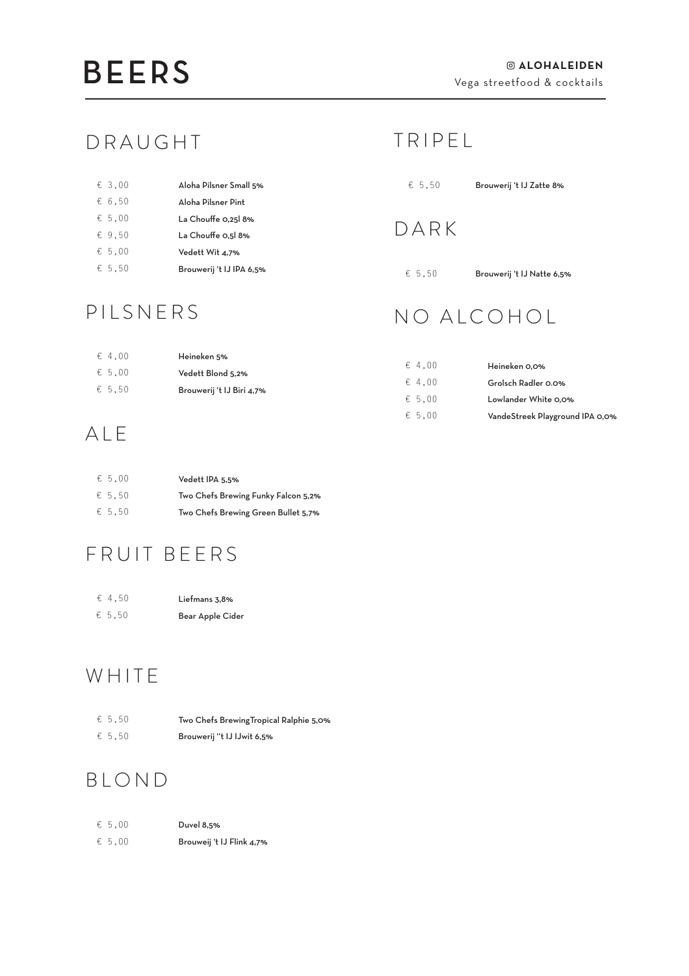#### DRAUGHT

| $\epsilon$ 3.00 | Aloha Pilsner Small 5%   |
|-----------------|--------------------------|
| € 6.50          | Aloha Pilsner Pint       |
| € 5.00          | La Chouffe 0.25 8%       |
| & 9.50          | La Chouffe 0.5 8%        |
| € 5.00          | Vedett Wit 4.7%          |
| € 5.50          | Brouwerij 't IJ IPA 6,5% |

#### PILSNERS

#### T R I P E L

| € 5,50<br>Brouwerij 't IJ Zatte 8% |  |
|------------------------------------|--|
|------------------------------------|--|

#### DARK

 $65,50$  Brouwerij 't IJ Natte 6,5%

### NO ALCOHOL

| Heineken 5%                                    |                 |                                 |
|------------------------------------------------|-----------------|---------------------------------|
| Vedett Blond 5,2%<br>Brouwerij 't IJ Biri 4,7% | $\epsilon$ 4.00 | Heineken 0.0%                   |
|                                                | $\epsilon$ 4.00 | Grolsch Radler 0.0%             |
|                                                | $\epsilon$ 5.00 | Lowlander White 0,0%            |
|                                                | $\epsilon$ 5.00 | VandeStreek Playground IPA 0,0% |

#### ALE

€ 4,00 € 5,00 € 5,50

| € 5.00          | Vedett IPA 5.5%                     |
|-----------------|-------------------------------------|
| $\epsilon$ 5.50 | Two Chefs Brewing Funky Falcon 5,2% |
| € 5.50          | Two Chefs Brewing Green Bullet 5,7% |

### FRUIT BEERS

| € 4.50 | Liefmans 3,8%    |
|--------|------------------|
| € 5.50 | Bear Apple Cider |

### WHITE

| $\epsilon$ 5.50 | Two Chefs Brewing Tropical Ralphie 5,0% |
|-----------------|-----------------------------------------|
| $\epsilon$ 5.50 | Brouwerij "t IJ IJwit 6,5%              |

#### BLOND

| $\epsilon$ 5.00 | Duvel 8,5%                |
|-----------------|---------------------------|
| $\epsilon$ 5.00 | Brouweij 't IJ Flink 4,7% |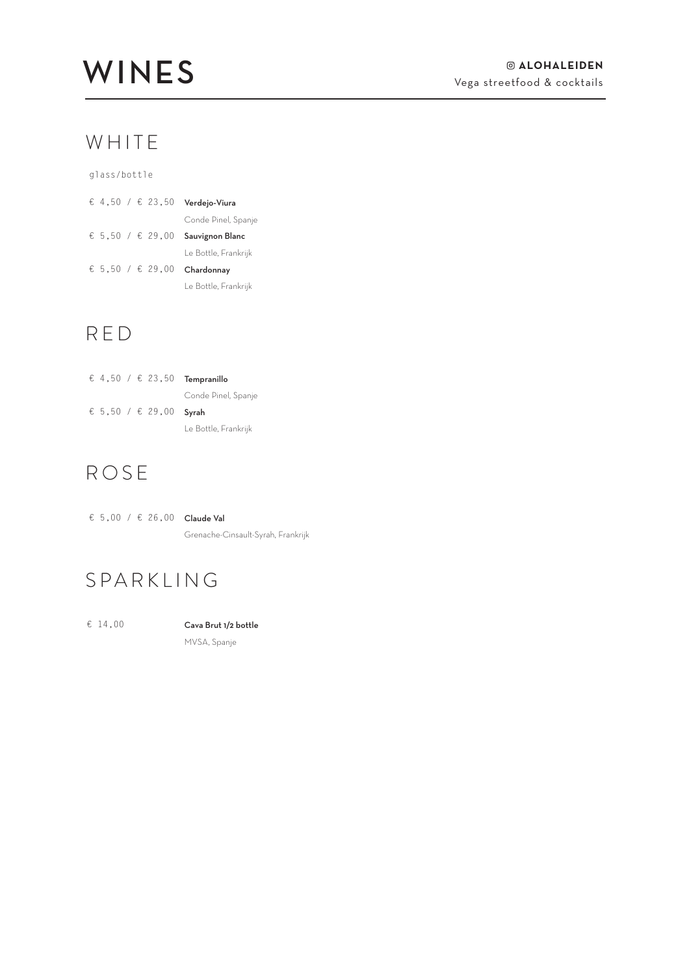#### WHITE

glass/bottle

|  |  | € 4.50 / € 23,50 | Verdejo-Viura        |
|--|--|------------------|----------------------|
|  |  |                  | Conde Pinel, Spanje  |
|  |  | € 5,50 / € 29,00 | Sauvignon Blanc      |
|  |  |                  | Le Bottle, Frankrijk |
|  |  | € 5.50 / € 29,00 | Chardonnay           |
|  |  |                  | Le Bottle, Frankrijk |

#### RED

|  |  |                        | € 4,50 / € 23,50 <b>Tempranillo</b> |
|--|--|------------------------|-------------------------------------|
|  |  |                        | Conde Pinel, Spanje                 |
|  |  |                        |                                     |
|  |  | € 5,50 / € 29,00 Svrah |                                     |

### ROSE

|  |  | € 5,00 / € 26,00 Claude Val        |
|--|--|------------------------------------|
|  |  | Grenache-Cinsault-Syrah, Frankrijk |

#### SPARKLING

 $£ 14,00$  Cava Brut 1/2 bottle MVSA, Spanje